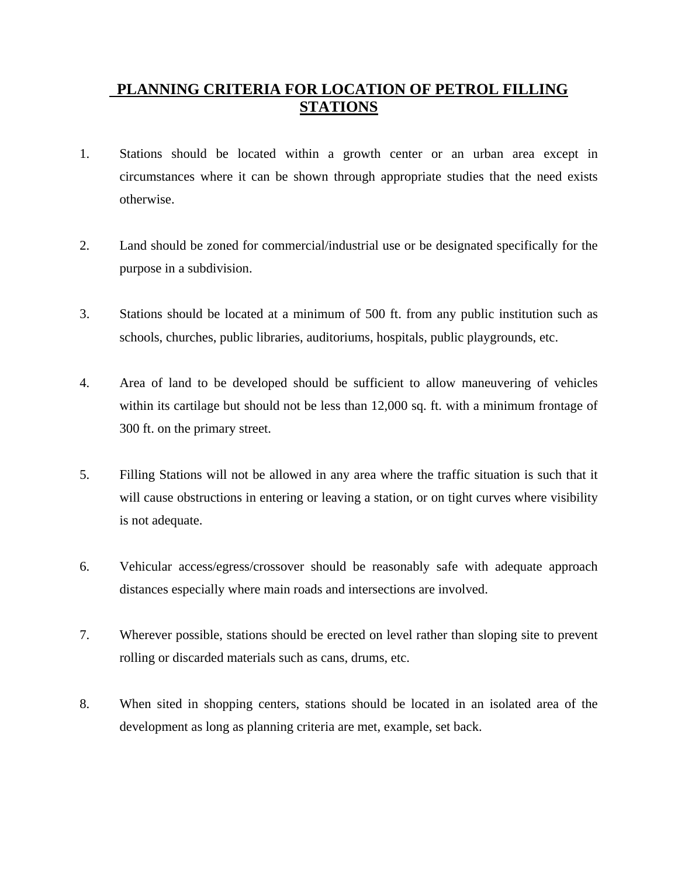## **PLANNING CRITERIA FOR LOCATION OF PETROL FILLING STATIONS**

- 1. Stations should be located within a growth center or an urban area except in circumstances where it can be shown through appropriate studies that the need exists otherwise.
- 2. Land should be zoned for commercial/industrial use or be designated specifically for the purpose in a subdivision.
- 3. Stations should be located at a minimum of 500 ft. from any public institution such as schools, churches, public libraries, auditoriums, hospitals, public playgrounds, etc.
- 4. Area of land to be developed should be sufficient to allow maneuvering of vehicles within its cartilage but should not be less than 12,000 sq. ft. with a minimum frontage of 300 ft. on the primary street.
- 5. Filling Stations will not be allowed in any area where the traffic situation is such that it will cause obstructions in entering or leaving a station, or on tight curves where visibility is not adequate.
- 6. Vehicular access/egress/crossover should be reasonably safe with adequate approach distances especially where main roads and intersections are involved.
- 7. Wherever possible, stations should be erected on level rather than sloping site to prevent rolling or discarded materials such as cans, drums, etc.
- 8. When sited in shopping centers, stations should be located in an isolated area of the development as long as planning criteria are met, example, set back.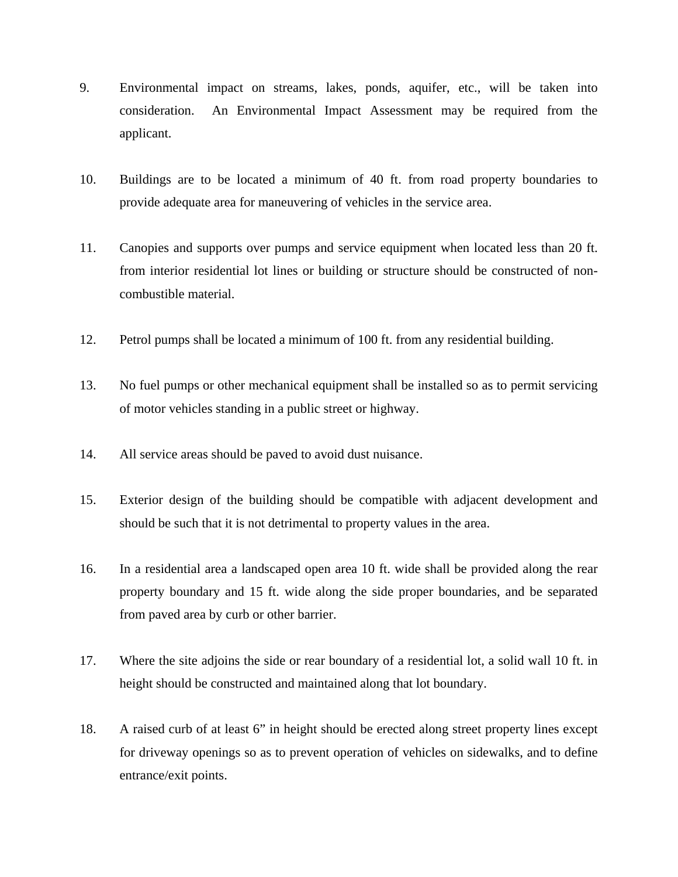- 9. Environmental impact on streams, lakes, ponds, aquifer, etc., will be taken into consideration. An Environmental Impact Assessment may be required from the applicant.
- 10. Buildings are to be located a minimum of 40 ft. from road property boundaries to provide adequate area for maneuvering of vehicles in the service area.
- 11. Canopies and supports over pumps and service equipment when located less than 20 ft. from interior residential lot lines or building or structure should be constructed of noncombustible material.
- 12. Petrol pumps shall be located a minimum of 100 ft. from any residential building.
- 13. No fuel pumps or other mechanical equipment shall be installed so as to permit servicing of motor vehicles standing in a public street or highway.
- 14. All service areas should be paved to avoid dust nuisance.
- 15. Exterior design of the building should be compatible with adjacent development and should be such that it is not detrimental to property values in the area.
- 16. In a residential area a landscaped open area 10 ft. wide shall be provided along the rear property boundary and 15 ft. wide along the side proper boundaries, and be separated from paved area by curb or other barrier.
- 17. Where the site adjoins the side or rear boundary of a residential lot, a solid wall 10 ft. in height should be constructed and maintained along that lot boundary.
- 18. A raised curb of at least 6" in height should be erected along street property lines except for driveway openings so as to prevent operation of vehicles on sidewalks, and to define entrance/exit points.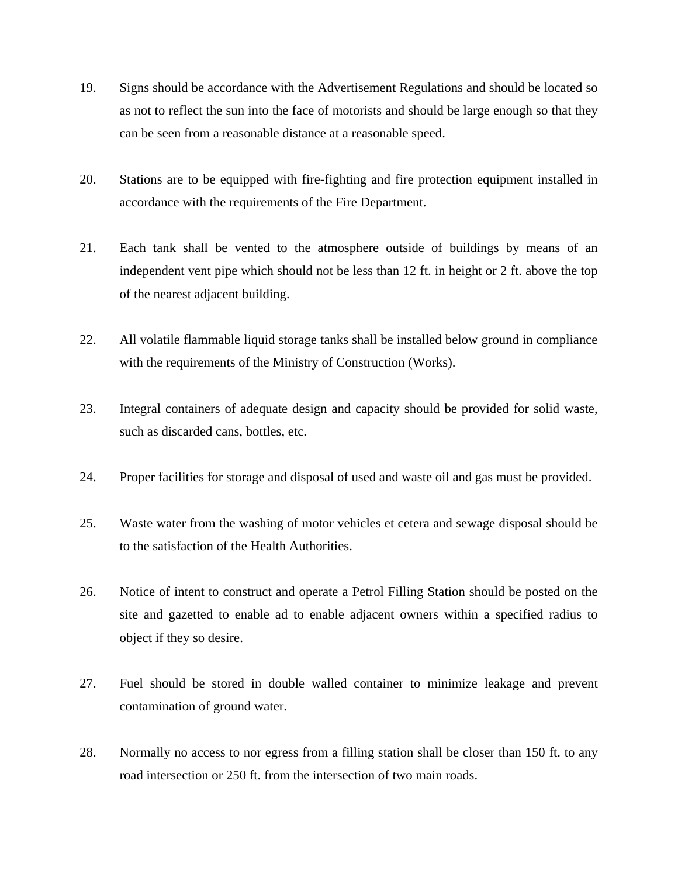- 19. Signs should be accordance with the Advertisement Regulations and should be located so as not to reflect the sun into the face of motorists and should be large enough so that they can be seen from a reasonable distance at a reasonable speed.
- 20. Stations are to be equipped with fire-fighting and fire protection equipment installed in accordance with the requirements of the Fire Department.
- 21. Each tank shall be vented to the atmosphere outside of buildings by means of an independent vent pipe which should not be less than 12 ft. in height or 2 ft. above the top of the nearest adjacent building.
- 22. All volatile flammable liquid storage tanks shall be installed below ground in compliance with the requirements of the Ministry of Construction (Works).
- 23. Integral containers of adequate design and capacity should be provided for solid waste, such as discarded cans, bottles, etc.
- 24. Proper facilities for storage and disposal of used and waste oil and gas must be provided.
- 25. Waste water from the washing of motor vehicles et cetera and sewage disposal should be to the satisfaction of the Health Authorities.
- 26. Notice of intent to construct and operate a Petrol Filling Station should be posted on the site and gazetted to enable ad to enable adjacent owners within a specified radius to object if they so desire.
- 27. Fuel should be stored in double walled container to minimize leakage and prevent contamination of ground water.
- 28. Normally no access to nor egress from a filling station shall be closer than 150 ft. to any road intersection or 250 ft. from the intersection of two main roads.